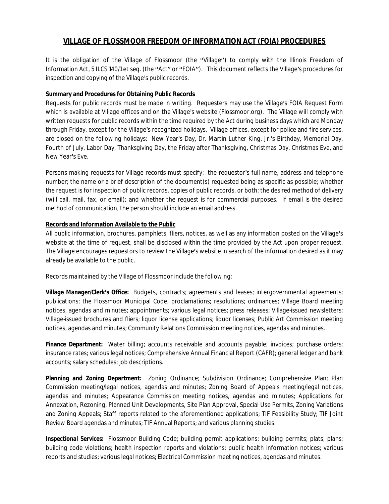# **VILLAGE OF FLOSSMOOR FREEDOM OF INFORMATION ACT (FOIA) PROCEDURES**

It is the obligation of the Village of Flossmoor (the "Village") to comply with the Illinois Freedom of Information Act, 5 ILCS 140/1 et seq. (the "Act" or "FOIA"). This document reflects the Village's procedures for inspection and copying of the Village's public records.

# **Summary and Procedures for Obtaining Public Records**

Requests for public records must be made in writing. Requesters may use the Village's FOIA Request Form which is available at Village offices and on the Village's website (Flossmoor.org). The Village will comply with written requests for public records within the time required by the Act during business days which are Monday through Friday, except for the Village's recognized holidays. Village offices, except for police and fire services, are closed on the following holidays: New Year's Day, Dr. Martin Luther King, Jr.'s Birthday, Memorial Day, Fourth of July, Labor Day, Thanksgiving Day, the Friday after Thanksgiving, Christmas Day, Christmas Eve, and New Year's Eve.

Persons making requests for Village records must specify: the requestor's full name, address and telephone number; the name or a brief description of the document(s) requested being as specific as possible; whether the request is for inspection of public records, copies of public records, or both; the desired method of delivery (will call, mail, fax, or email); and whether the request is for commercial purposes. If email is the desired method of communication, the person should include an email address.

# **Records and Information Available to the Public**

All public information, brochures, pamphlets, fliers, notices, as well as any information posted on the Village's website at the time of request, shall be disclosed within the time provided by the Act upon proper request. The Village encourages requestors to review the Village's website in search of the information desired as it may already be available to the public.

Records maintained by the Village of Flossmoor include the following:

*Village Manager/Clerk's Office:* Budgets, contracts; agreements and leases; intergovernmental agreements; publications; the Flossmoor Municipal Code; proclamations; resolutions; ordinances; Village Board meeting notices, agendas and minutes; appointments; various legal notices; press releases; Village-issued newsletters; Village-issued brochures and fliers; liquor license applications; liquor licenses; Public Art Commission meeting notices, agendas and minutes; Community Relations Commission meeting notices, agendas and minutes.

**Finance Department:** Water billing; accounts receivable and accounts payable; invoices; purchase orders; insurance rates; various legal notices; Comprehensive Annual Financial Report (CAFR); general ledger and bank accounts; salary schedules; job descriptions.

*Planning and Zoning Department:* Zoning Ordinance; Subdivision Ordinance; Comprehensive Plan; Plan Commission meeting/legal notices, agendas and minutes; Zoning Board of Appeals meeting/legal notices, agendas and minutes; Appearance Commission meeting notices, agendas and minutes; Applications for Annexation, Rezoning, Planned Unit Developments, Site Plan Approval, Special Use Permits, Zoning Variations and Zoning Appeals; Staff reports related to the aforementioned applications; TIF Feasibility Study; TIF Joint Review Board agendas and minutes; TIF Annual Reports; and various planning studies.

*Inspectional Services:* Flossmoor Building Code; building permit applications; building permits; plats; plans; building code violations; health inspection reports and violations; public health information notices; various reports and studies; various legal notices; Electrical Commission meeting notices, agendas and minutes.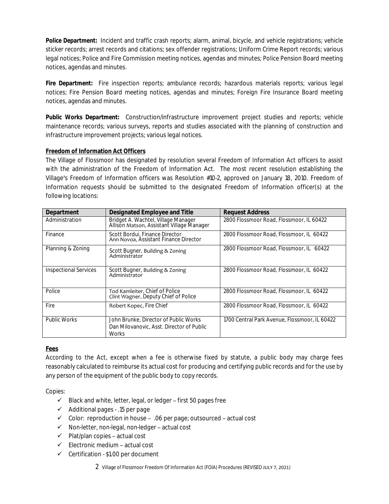*Police Department:* Incident and traffic crash reports; alarm, animal, bicycle, and vehicle registrations; vehicle sticker records; arrest records and citations; sex offender registrations; Uniform Crime Report records; various legal notices; Police and Fire Commission meeting notices, agendas and minutes; Police Pension Board meeting notices, agendas and minutes.

*Fire Department:* Fire inspection reports; ambulance records; hazardous materials reports; various legal notices; Fire Pension Board meeting notices, agendas and minutes; Foreign Fire Insurance Board meeting notices, agendas and minutes.

*Public Works Department:* Construction/infrastructure improvement project studies and reports; vehicle maintenance records; various surveys, reports and studies associated with the planning of construction and infrastructure improvement projects; various legal notices.

# **Freedom of Information Act Officers**

The Village of Flossmoor has designated by resolution several Freedom of Information Act officers to assist with the administration of the Freedom of Information Act. The most recent resolution establishing the Village's Freedom of Information officers was Resolution #10-2, approved on January 18, 2010. Freedom of Information requests should be submitted to the designated Freedom of Information officer(s) at the following locations:

| Department                   | <b>Designated Employee and Title</b>                                                               | <b>Request Address</b>                        |
|------------------------------|----------------------------------------------------------------------------------------------------|-----------------------------------------------|
| Administration               | Bridget A. Wachtel, Village Manager<br>Allison Matson, Assistant Village Manager                   | 2800 Flossmoor Road, Flossmoor, IL 60422      |
| Finance                      | Scott Bordui, Finance Director<br>Ann Novoa, Assistant Finance Director                            | 2800 Flossmoor Road, Flossmoor, IL 60422      |
| Planning & Zoning            | Scott Bugner, Building & Zoning<br>Administrator                                                   | 2800 Flossmoor Road, Flossmoor, IL 60422      |
| <b>Inspectional Services</b> | Scott Bugner, Building & Zoning<br>Administrator                                                   | 2800 Flossmoor Road, Flossmoor, IL 60422      |
| Police                       | Tod Kamleiter, Chief of Police<br>Clint Wagner, Deputy Chief of Police                             | 2800 Flossmoor Road, Flossmoor, IL 60422      |
| Fire                         | Robert Kopec, Fire Chief                                                                           | 2800 Flossmoor Road, Flossmoor, IL 60422      |
| <b>Public Works</b>          | John Brunke, Director of Public Works<br>Dan Milovanovic, Asst. Director of Public<br><b>Works</b> | 1700 Central Park Avenue, Flossmoor, IL 60422 |

# **Fees**

According to the Act, except when a fee is otherwise fixed by statute, a public body may charge fees reasonably calculated to reimburse its actual cost for producing and certifying public records and for the use by any person of the equipment of the public body to copy records.

Copies:

- $\checkmark$  Black and white, letter, legal, or ledger first 50 pages free
- $\checkmark$  Additional pages .15 per page
- $\checkmark$  Color: reproduction in house .06 per page; outsourced actual cost
- $\checkmark$  Non-letter, non-legal, non-ledger actual cost
- $\checkmark$  Plat/plan copies actual cost
- $\checkmark$  Electronic medium actual cost
- $\checkmark$  Certification \$1.00 per document

2 Village of Flossmoor Freedom Of Information Act (FOIA) Procedures (REVISED JULY 7, 2021)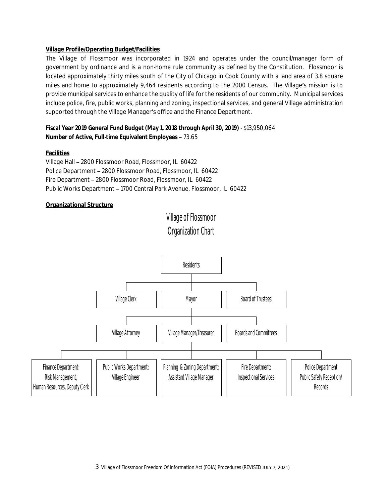# **Village Profile/Operating Budget/Facilities**

The Village of Flossmoor was incorporated in 1924 and operates under the council/manager form of government by ordinance and is a non-home rule community as defined by the Constitution. Flossmoor is located approximately thirty miles south of the City of Chicago in Cook County with a land area of 3.8 square miles and home to approximately 9,464 residents according to the 2000 Census. The Village's mission is to provide municipal services to enhance the quality of life for the residents of our community. Municipal services include police, fire, public works, planning and zoning, inspectional services, and general Village administration supported through the Village Manager's office and the Finance Department.

# *Fiscal Year 2019 General Fund Budget (May 1, 2018 through April 30, 2019)* - \$13,950,064 *Number of Active, Full-time Equivalent Employees* – 73.65

# **Facilities**

Village Hall – 2800 Flossmoor Road, Flossmoor, IL 60422 Police Department – 2800 Flossmoor Road, Flossmoor, IL 60422 Fire Department – 2800 Flossmoor Road, Flossmoor, IL 60422 Public Works Department – 1700 Central Park Avenue, Flossmoor, IL 60422

# **Organizational Structure**